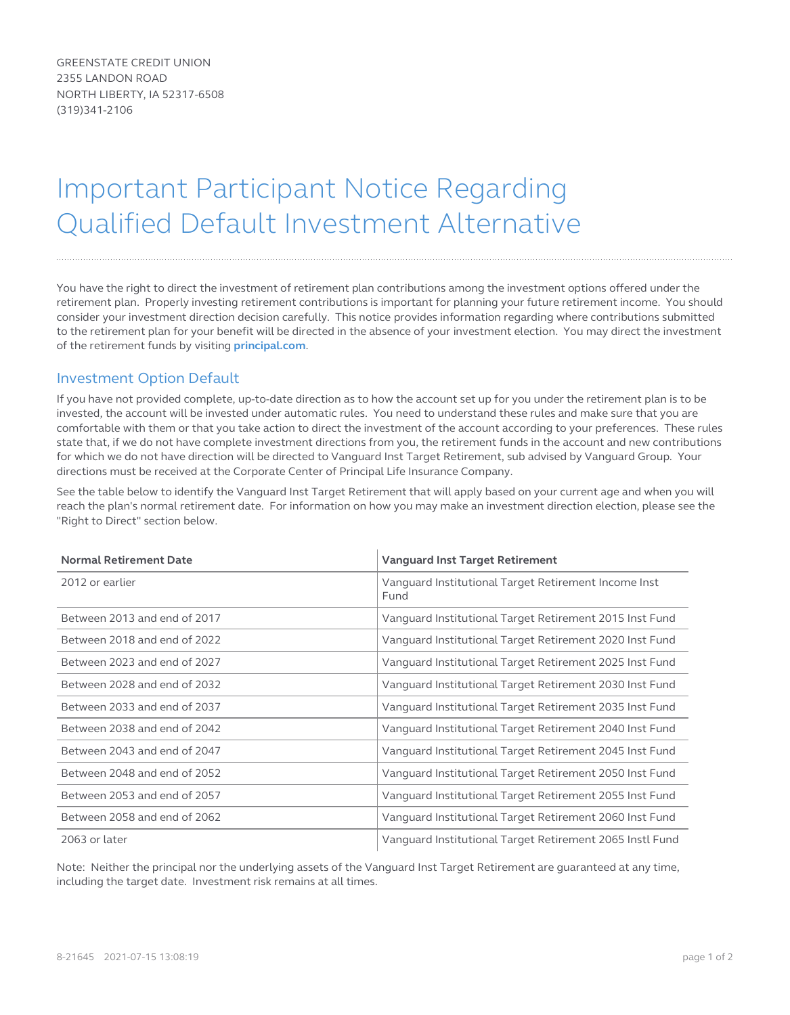GREENSTATE CREDIT UNION 2355 LANDON ROAD NORTH LIBERTY, IA 52317-6508 (319)341-2106

## Important Participant Notice Regarding Qualified Default Investment Alternative

You have the right to direct the investment of retirement plan contributions among the investment options offered under the retirement plan. Properly investing retirement contributions is important for planning your future retirement income. You should consider your investment direction decision carefully. This notice provides information regarding where contributions submitted to the retirement plan for your benefit will be directed in the absence of your investment election. You may direct the investment of the retirement funds by visiting **principal.com**.

## Investment Option Defaul[t](http://www.principal.com)

If you have not provided complete, up-to-date direction as to how the account set up for you under the retirement plan is to be invested, the account will be invested under automatic rules. You need to understand these rules and make sure that you are comfortable with them or that you take action to direct the investment of the account according to your preferences. These rules state that, if we do not have complete investment directions from you, the retirement funds in the account and new contributions for which we do not have direction will be directed to Vanguard Inst Target Retirement, sub advised by Vanguard Group. Your directions must be received at the Corporate Center of Principal Life Insurance Company.

See the table below to identify the Vanguard Inst Target Retirement that will apply based on your current age and when you will reach the plan's normal retirement date. For information on how you may make an investment direction election, please see the "Right to Direct" section below.

| <b>Normal Retirement Date</b> | <b>Vanguard Inst Target Retirement</b>                       |
|-------------------------------|--------------------------------------------------------------|
| 2012 or earlier               | Vanguard Institutional Target Retirement Income Inst<br>Fund |
| Between 2013 and end of 2017  | Vanguard Institutional Target Retirement 2015 Inst Fund      |
| Between 2018 and end of 2022  | Vanguard Institutional Target Retirement 2020 Inst Fund      |
| Between 2023 and end of 2027  | Vanguard Institutional Target Retirement 2025 Inst Fund      |
| Between 2028 and end of 2032  | Vanguard Institutional Target Retirement 2030 Inst Fund      |
| Between 2033 and end of 2037  | Vanguard Institutional Target Retirement 2035 Inst Fund      |
| Between 2038 and end of 2042  | Vanguard Institutional Target Retirement 2040 Inst Fund      |
| Between 2043 and end of 2047  | Vanguard Institutional Target Retirement 2045 Inst Fund      |
| Between 2048 and end of 2052  | Vanguard Institutional Target Retirement 2050 Inst Fund      |
| Between 2053 and end of 2057  | Vanguard Institutional Target Retirement 2055 Inst Fund      |
| Between 2058 and end of 2062  | Vanguard Institutional Target Retirement 2060 Inst Fund      |
| 2063 or later                 | Vanguard Institutional Target Retirement 2065 Instl Fund     |

Note: Neither the principal nor the underlying assets of the Vanguard Inst Target Retirement are guaranteed at any time, including the target date. Investment risk remains at all times.